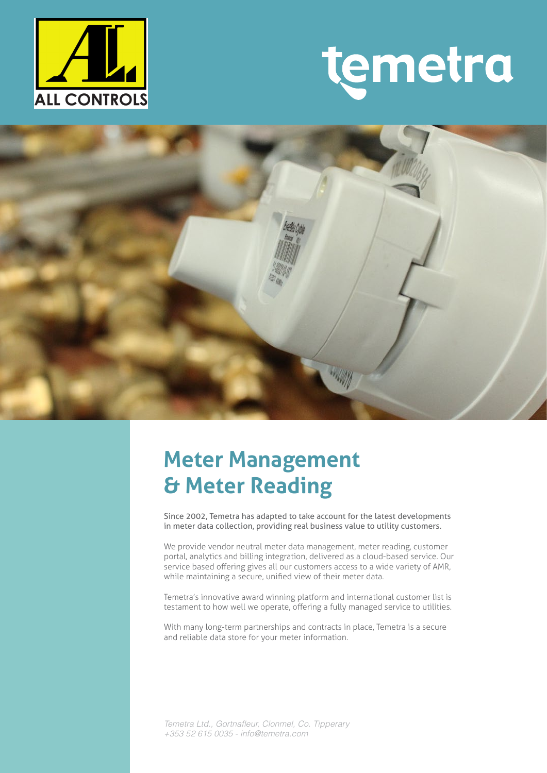

# temetra



## **Meter Management & Meter Reading**

Since 2002, Temetra has adapted to take account for the latest developments in meter data collection, providing real business value to utility customers.

We provide vendor neutral meter data management, meter reading, customer portal, analytics and billing integration, delivered as a cloud-based service. Our service based offering gives all our customers access to a wide variety of AMR, while maintaining a secure, unified view of their meter data.

Temetra's innovative award winning platform and international customer list is testament to how well we operate, offering a fully managed service to utilities.

With many long-term partnerships and contracts in place, Temetra is a secure and reliable data store for your meter information.

*Temetra Ltd., Gortnafleur, Clonmel, Co. Tipperary +353 52 615 0035 - info@temetra.com*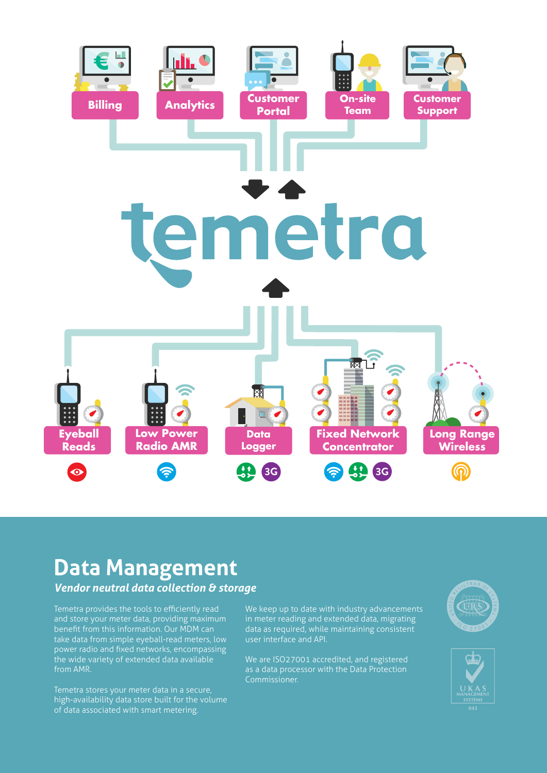

## **Data Management**

*Vendor neutral data collection & storage*

Temetra provides the tools to efficiently read and store your meter data, providing maximum benefit from this information. Our MDM can power radio and fixed networks, encompassing the wide variety of extended data available from AMR.

high-availability data store built for the volume of data associated with smart metering.

We keep up to date with industry advancements in meter reading and extended data, migrating data as required, while maintaining consistent user interface and API.

We are ISO27001 accredited, and registered as a data processor with the Data Protection Commissioner.



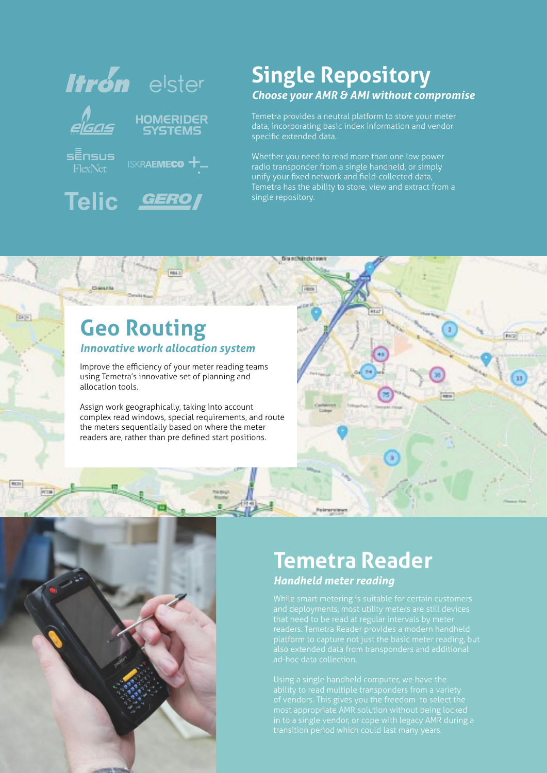

### **Single Repository** *Choose your AMR & AMI without compromise*

Temetra provides a neutral platform to store your meter data, incorporating basic index information and vendor specific extended data.

Whether you need to read more than one low power radio transponder from a single handheld, or simply unify your fixed network and field-collected data, single repository.

**Big networds i men** 

#### **Geo Routing** *Innovative work allocation system*

**Chemich** 

Digital

Improve the efficiency of your meter reading teams using Temetra's innovative set of planning and allocation tools.

**Fair** 

Assign work geographically, taking into account complex read windows, special requirements, and route the meters sequentially based on where the meter readers are, rather than pre defined start positions.



#### **Temetra Reader** *Handheld meter reading*

platform to capture not just the basic meter reading, but

in to a single vendor, or cope with legacy AMR during a